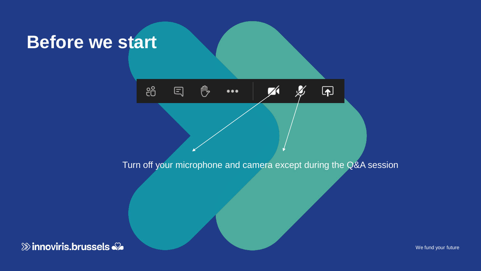### **Before we start**

දීරි 們 曰  $\overline{\mathbf{P}}$  $\bullet\bullet\bullet$ 

Turn off your microphone and camera except during the Q&A session

 $\gg$  innoviris.brussels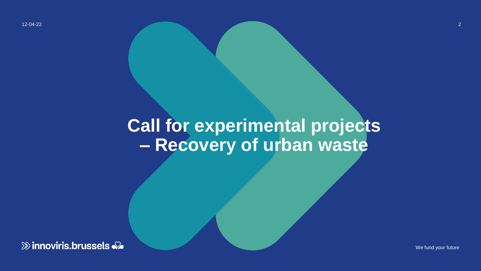12-04-22

# **Call for experimental projects – Recovery of urban waste**

**& innoviris.brussels**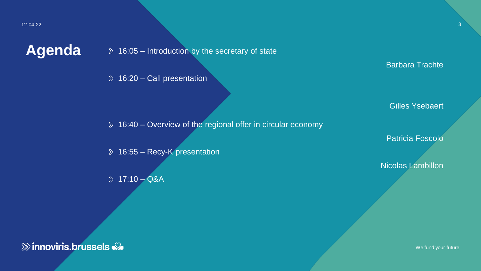Agenda  $\rightarrow$  16:05 – Introduction by the secretary of state

 $\delta$  16:20 – Call presentation

16:40 – Overview of the regional offer in circular economy

16:55 – Recy-K presentation

 $\sqrt{2}$  17:10 – Q&A

Barbara Trachte

3

Gilles Ysebaert

Patricia Foscolo

Nicolas Lambillon

 $\gg$  innoviris.brussels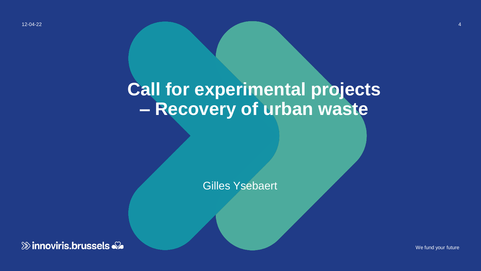12-04-22

## **Call for experimental projects – Recovery of urban waste**

Gilles Ysebaert

**& innoviris.brussels** 

We fund your future

4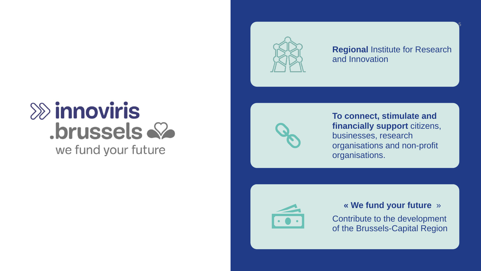

**Regional** Institute for Research and Innovation

5

### $\gg$  innoviris .brussels & we fund your future



**To connect, stimulate and financially support** citizens, businesses, research organisations and non-profit organisations.



### **« We fund your future** »

Contribute to the development of the Brussels-Capital Region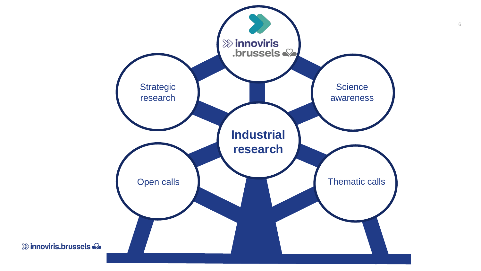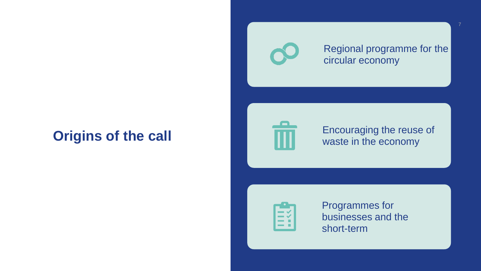Regional programme for the circular economy

### **Origins of the call**



Encouraging the reuse of waste in the economy



Programmes for businesses and the short-term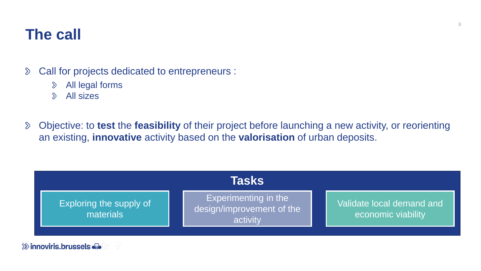### **The call**

- Call for projects dedicated to entrepreneurs :  $\delta$ 
	- All legal forms  $\delta$
	- All sizes  $\mathcal{D}$
- Objective: to **test** the **feasibility** of their project before launching a new activity, or reorienting  $\delta$ an existing, **innovative** activity based on the **valorisation** of urban deposits.

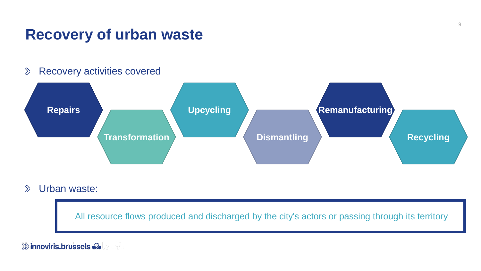### **Recovery of urban waste**

#### Recovery activities covered  $\delta$



#### Urban waste:  $\mathcal{D}$

All resource flows produced and discharged by the city's actors or passing through its territory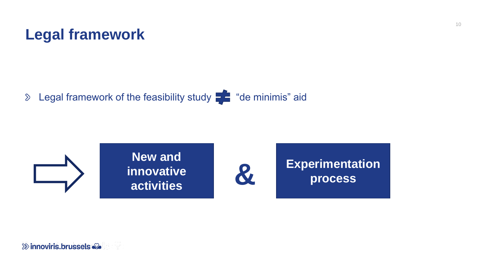

Legal framework of the feasibility study  $\frac{1}{2}$  "de minimis" aid  $\delta$ 

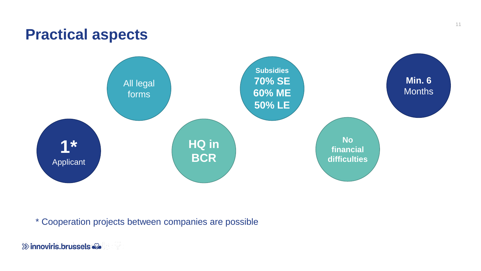### **Practical aspects**



\* Cooperation projects between companies are possible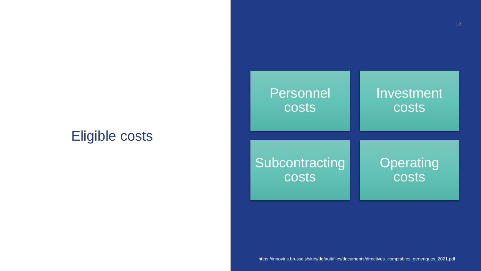### Eligible costs

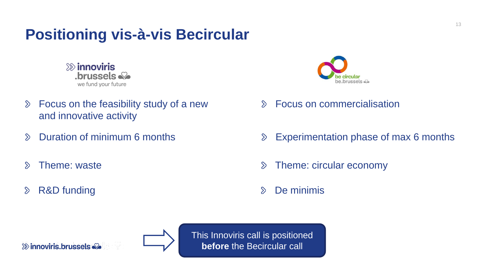### **Positioning vis-à-vis Becircular**

 $\gg$  innoviris  $\blacksquare$ brussels  $\clubsuit\spadesuit$ we fund your future

- Focus on the feasibility study of a new  $\delta$ and innovative activity
- $\sum$
- $\infty$
- $\delta$



- Focus on commercialisation  $\sum$
- Duration of minimum 6 months **Experimentation phase of max 6 months**
- Theme: waste Theme: waste Theme: circular economy
- R&D funding  $\Diamond$  De minimis

 $\gg$  innoviris.brussels



This Innoviris call is positioned **before** the Becircular call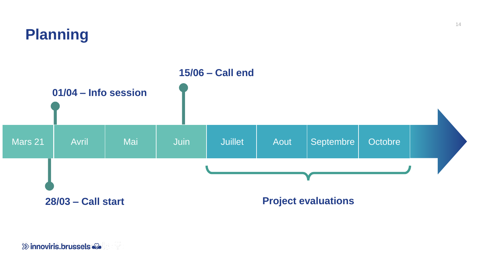

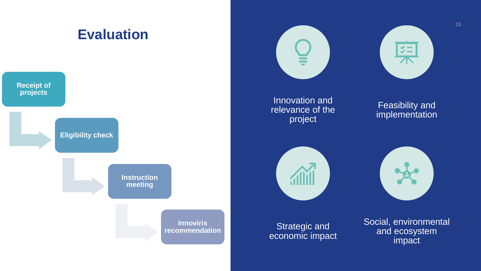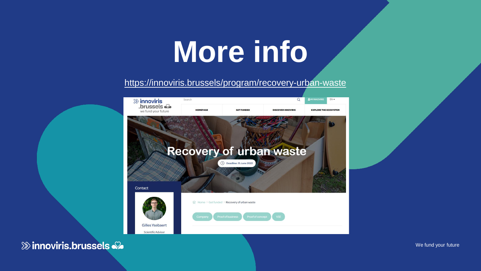# **More info**

### <https://innoviris.brussels/program/recovery-urban-waste>

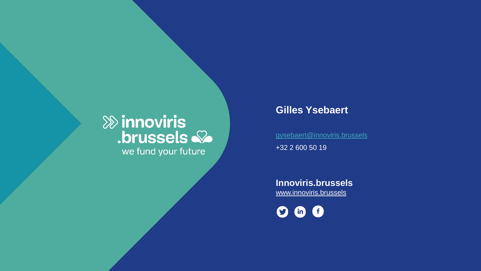# **External interest:**<br>
Some the set of the set of the set of the set of the set of the set of the set of the set of the set of the set of the set of the set of the set of the set of the set of the set of the set of the set we fund your future

### **Gilles Ysebaert**

[gysebaert@innoviris.brussels](mailto:gysebaert@innoviris.brussels) +32 2 600 50 19

**Innoviris.brussels** [www.innoviris.brussels](http://www.innoviris.brussels/)

 $\bullet$   $\bullet$   $\bullet$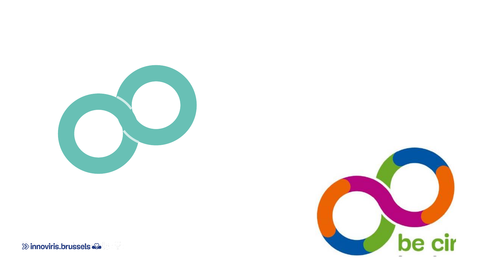

be cir